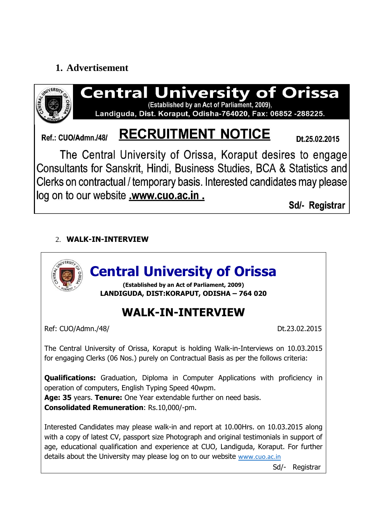## **1. Advertisement**



Sd/- Registrar

## 2. **WALK-IN-INTERVIEW**



Sd/- Registrar